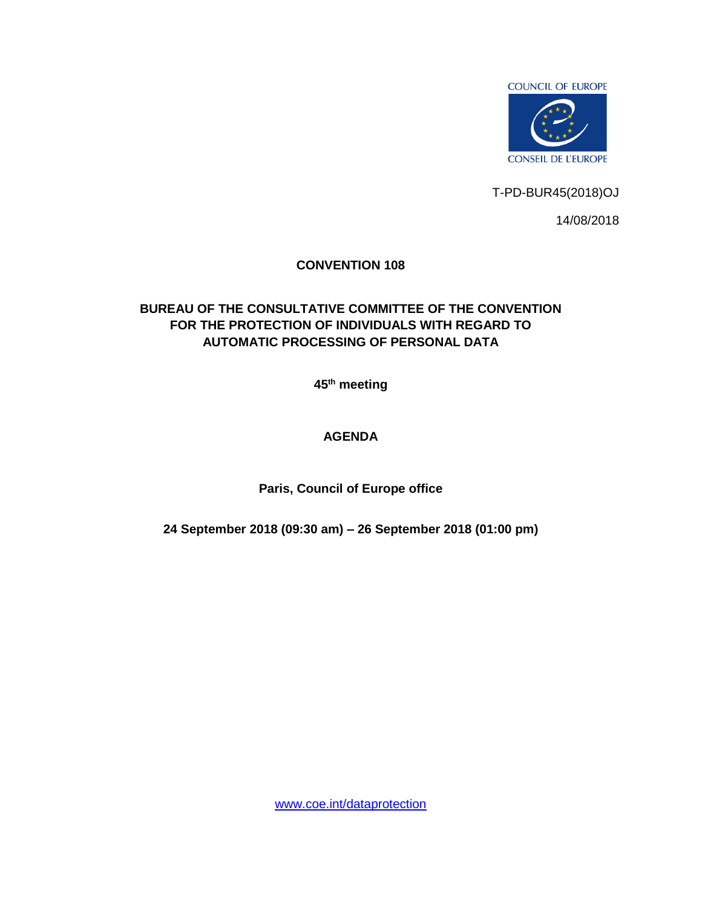

T-PD-BUR45(2018)OJ

14/08/2018

## **CONVENTION 108**

## **BUREAU OF THE CONSULTATIVE COMMITTEE OF THE CONVENTION FOR THE PROTECTION OF INDIVIDUALS WITH REGARD TO AUTOMATIC PROCESSING OF PERSONAL DATA**

**45 th meeting** 

## **AGENDA**

**Paris, Council of Europe office**

**24 September 2018 (09:30 am) – 26 September 2018 (01:00 pm)**

[www.coe.int/dataprotection](http://www.coe.int/dataprotection)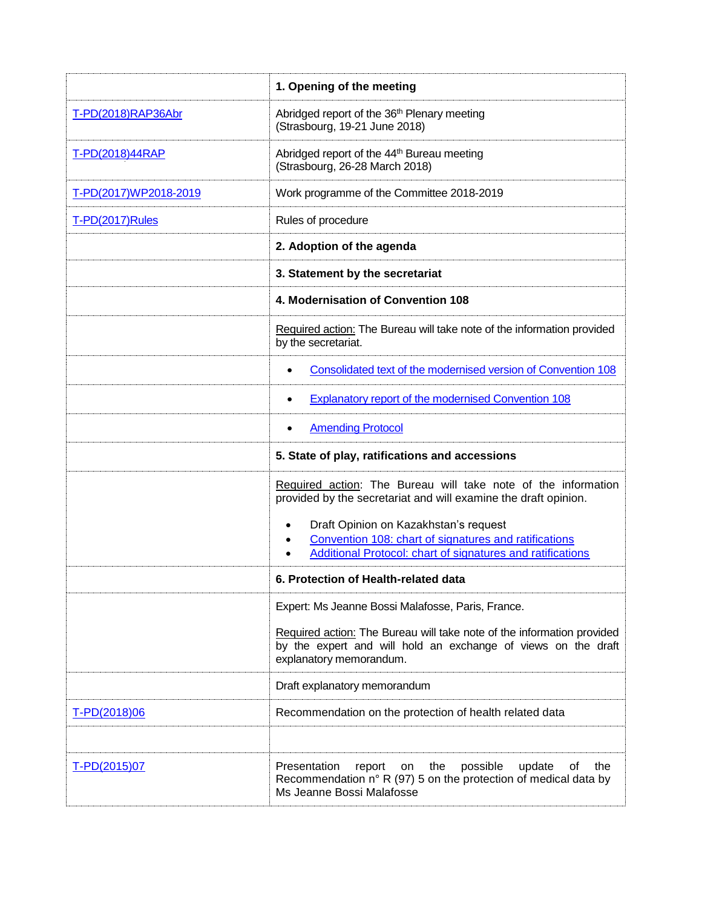|                       | 1. Opening of the meeting                                                                                                                                                 |  |  |  |
|-----------------------|---------------------------------------------------------------------------------------------------------------------------------------------------------------------------|--|--|--|
| T-PD(2018)RAP36Abr    | Abridged report of the 36 <sup>th</sup> Plenary meeting<br>(Strasbourg, 19-21 June 2018)                                                                                  |  |  |  |
| T-PD(2018)44RAP       | Abridged report of the 44 <sup>th</sup> Bureau meeting<br>(Strasbourg, 26-28 March 2018)                                                                                  |  |  |  |
| T-PD(2017)WP2018-2019 | Work programme of the Committee 2018-2019                                                                                                                                 |  |  |  |
| T-PD(2017)Rules       | Rules of procedure                                                                                                                                                        |  |  |  |
|                       | 2. Adoption of the agenda                                                                                                                                                 |  |  |  |
|                       | 3. Statement by the secretariat                                                                                                                                           |  |  |  |
|                       | 4. Modernisation of Convention 108                                                                                                                                        |  |  |  |
|                       | Required action: The Bureau will take note of the information provided<br>by the secretariat.                                                                             |  |  |  |
|                       | Consolidated text of the modernised version of Convention 108                                                                                                             |  |  |  |
|                       | Explanatory report of the modernised Convention 108                                                                                                                       |  |  |  |
|                       | <b>Amending Protocol</b>                                                                                                                                                  |  |  |  |
|                       | 5. State of play, ratifications and accessions                                                                                                                            |  |  |  |
|                       | Required action: The Bureau will take note of the information<br>provided by the secretariat and will examine the draft opinion.<br>Draft Opinion on Kazakhstan's request |  |  |  |
|                       | $\bullet$<br>Convention 108: chart of signatures and ratifications<br><b>Additional Protocol: chart of signatures and ratifications</b>                                   |  |  |  |
|                       | 6. Protection of Health-related data                                                                                                                                      |  |  |  |
|                       | Expert: Ms Jeanne Bossi Malafosse, Paris, France.                                                                                                                         |  |  |  |
|                       | Required action: The Bureau will take note of the information provided<br>by the expert and will hold an exchange of views on the draft<br>explanatory memorandum.        |  |  |  |
|                       | Draft explanatory memorandum                                                                                                                                              |  |  |  |
| T-PD(2018)06          | Recommendation on the protection of health related data                                                                                                                   |  |  |  |
|                       |                                                                                                                                                                           |  |  |  |
| T-PD(2015)07          | the<br>possible<br>update<br>Presentation<br>report<br>οf<br>the<br>on<br>Recommendation n° R (97) 5 on the protection of medical data by<br>Ms Jeanne Bossi Malafosse    |  |  |  |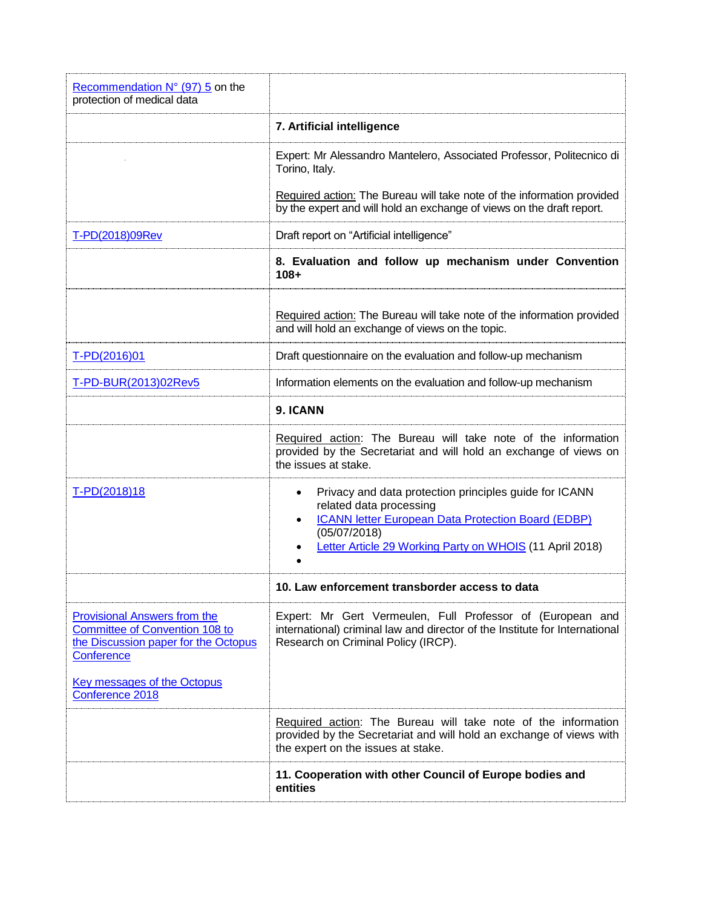| Recommendation $N^{\circ}$ (97) 5 on the<br>protection of medical data                                                             |                                                                                                                                                                                                                                 |  |  |  |
|------------------------------------------------------------------------------------------------------------------------------------|---------------------------------------------------------------------------------------------------------------------------------------------------------------------------------------------------------------------------------|--|--|--|
|                                                                                                                                    | 7. Artificial intelligence                                                                                                                                                                                                      |  |  |  |
|                                                                                                                                    | Expert: Mr Alessandro Mantelero, Associated Professor, Politecnico di<br>Torino, Italy.                                                                                                                                         |  |  |  |
|                                                                                                                                    | Required action: The Bureau will take note of the information provided<br>by the expert and will hold an exchange of views on the draft report.                                                                                 |  |  |  |
| T-PD(2018)09Rev                                                                                                                    | Draft report on "Artificial intelligence"                                                                                                                                                                                       |  |  |  |
|                                                                                                                                    | 8. Evaluation and follow up mechanism under Convention<br>$108 +$                                                                                                                                                               |  |  |  |
|                                                                                                                                    | Required action: The Bureau will take note of the information provided<br>and will hold an exchange of views on the topic.                                                                                                      |  |  |  |
| T-PD(2016)01                                                                                                                       | Draft questionnaire on the evaluation and follow-up mechanism                                                                                                                                                                   |  |  |  |
| T-PD-BUR(2013)02Rev5                                                                                                               | Information elements on the evaluation and follow-up mechanism                                                                                                                                                                  |  |  |  |
|                                                                                                                                    | 9. ICANN                                                                                                                                                                                                                        |  |  |  |
|                                                                                                                                    | Required action: The Bureau will take note of the information<br>provided by the Secretariat and will hold an exchange of views on<br>the issues at stake.                                                                      |  |  |  |
| T-PD(2018)18                                                                                                                       | Privacy and data protection principles guide for ICANN<br>٠<br>related data processing<br><b>ICANN letter European Data Protection Board (EDBP)</b><br>(05/07/2018)<br>Letter Article 29 Working Party on WHOIS (11 April 2018) |  |  |  |
|                                                                                                                                    | 10. Law enforcement transborder access to data                                                                                                                                                                                  |  |  |  |
| <b>Provisional Answers from the</b><br><b>Committee of Convention 108 to</b><br>the Discussion paper for the Octopus<br>Conference | Expert: Mr Gert Vermeulen, Full Professor of (European and<br>international) criminal law and director of the Institute for International<br>Research on Criminal Policy (IRCP).                                                |  |  |  |
| <b>Key messages of the Octopus</b><br>Conference 2018                                                                              |                                                                                                                                                                                                                                 |  |  |  |
|                                                                                                                                    | Required action: The Bureau will take note of the information<br>provided by the Secretariat and will hold an exchange of views with<br>the expert on the issues at stake.                                                      |  |  |  |
|                                                                                                                                    | 11. Cooperation with other Council of Europe bodies and<br>entities                                                                                                                                                             |  |  |  |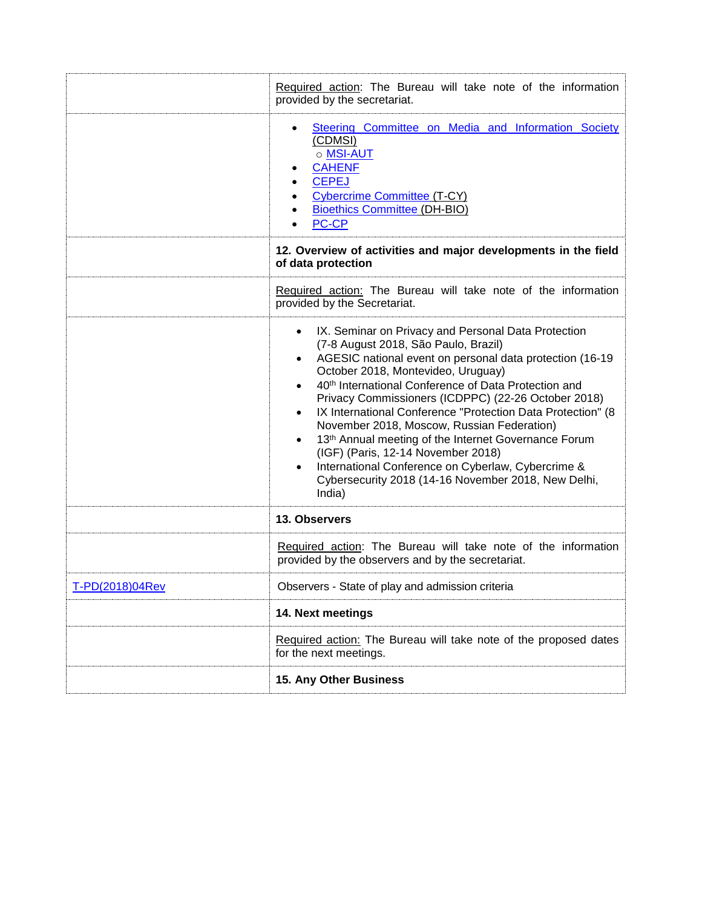|                 | Required action: The Bureau will take note of the information<br>provided by the secretariat.                                                                                                                                                                                                                                                                                                                                                                                                                                                                                                                                                                                                      |  |  |
|-----------------|----------------------------------------------------------------------------------------------------------------------------------------------------------------------------------------------------------------------------------------------------------------------------------------------------------------------------------------------------------------------------------------------------------------------------------------------------------------------------------------------------------------------------------------------------------------------------------------------------------------------------------------------------------------------------------------------------|--|--|
|                 | Steering Committee on Media and Information Society<br>(CDMSI)<br>o MSI-AUT<br><b>CAHENF</b><br><b>CEPEJ</b><br><b>Cybercrime Committee (T-CY)</b><br><b>Bioethics Committee (DH-BIO)</b><br><b>PC-CP</b>                                                                                                                                                                                                                                                                                                                                                                                                                                                                                          |  |  |
|                 | 12. Overview of activities and major developments in the field<br>of data protection                                                                                                                                                                                                                                                                                                                                                                                                                                                                                                                                                                                                               |  |  |
|                 | Required action: The Bureau will take note of the information<br>provided by the Secretariat.                                                                                                                                                                                                                                                                                                                                                                                                                                                                                                                                                                                                      |  |  |
|                 | IX. Seminar on Privacy and Personal Data Protection<br>$\bullet$<br>(7-8 August 2018, São Paulo, Brazil)<br>AGESIC national event on personal data protection (16-19<br>October 2018, Montevideo, Uruguay)<br>40th International Conference of Data Protection and<br>Privacy Commissioners (ICDPPC) (22-26 October 2018)<br>IX International Conference "Protection Data Protection" (8<br>$\bullet$<br>November 2018, Moscow, Russian Federation)<br>13th Annual meeting of the Internet Governance Forum<br>$\bullet$<br>(IGF) (Paris, 12-14 November 2018)<br>International Conference on Cyberlaw, Cybercrime &<br>$\bullet$<br>Cybersecurity 2018 (14-16 November 2018, New Delhi,<br>India) |  |  |
|                 | 13. Observers                                                                                                                                                                                                                                                                                                                                                                                                                                                                                                                                                                                                                                                                                      |  |  |
|                 | Required action: The Bureau will take note of the information<br>provided by the observers and by the secretariat.                                                                                                                                                                                                                                                                                                                                                                                                                                                                                                                                                                                 |  |  |
| T-PD(2018)04Rev | Observers - State of play and admission criteria                                                                                                                                                                                                                                                                                                                                                                                                                                                                                                                                                                                                                                                   |  |  |
|                 | 14. Next meetings                                                                                                                                                                                                                                                                                                                                                                                                                                                                                                                                                                                                                                                                                  |  |  |
|                 | Required action: The Bureau will take note of the proposed dates<br>for the next meetings.                                                                                                                                                                                                                                                                                                                                                                                                                                                                                                                                                                                                         |  |  |
|                 | 15. Any Other Business                                                                                                                                                                                                                                                                                                                                                                                                                                                                                                                                                                                                                                                                             |  |  |